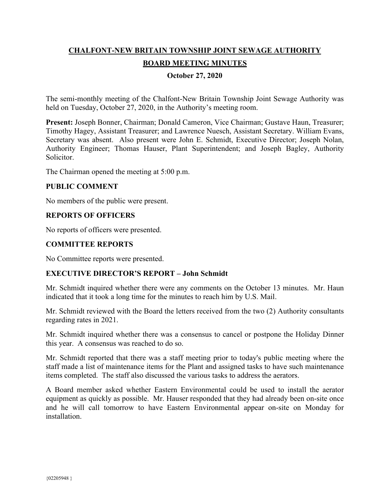# **CHALFONT-NEW BRITAIN TOWNSHIP JOINT SEWAGE AUTHORITY BOARD MEETING MINUTES**

## **October 27, 2020**

The semi-monthly meeting of the Chalfont-New Britain Township Joint Sewage Authority was held on Tuesday, October 27, 2020, in the Authority's meeting room.

**Present:** Joseph Bonner, Chairman; Donald Cameron, Vice Chairman; Gustave Haun, Treasurer; Timothy Hagey, Assistant Treasurer; and Lawrence Nuesch, Assistant Secretary. William Evans, Secretary was absent. Also present were John E. Schmidt, Executive Director; Joseph Nolan, Authority Engineer; Thomas Hauser, Plant Superintendent; and Joseph Bagley, Authority Solicitor.

The Chairman opened the meeting at 5:00 p.m.

## **PUBLIC COMMENT**

No members of the public were present.

## **REPORTS OF OFFICERS**

No reports of officers were presented.

## **COMMITTEE REPORTS**

No Committee reports were presented.

#### **EXECUTIVE DIRECTOR'S REPORT – John Schmidt**

Mr. Schmidt inquired whether there were any comments on the October 13 minutes. Mr. Haun indicated that it took a long time for the minutes to reach him by U.S. Mail.

Mr. Schmidt reviewed with the Board the letters received from the two (2) Authority consultants regarding rates in 2021.

Mr. Schmidt inquired whether there was a consensus to cancel or postpone the Holiday Dinner this year. A consensus was reached to do so.

Mr. Schmidt reported that there was a staff meeting prior to today's public meeting where the staff made a list of maintenance items for the Plant and assigned tasks to have such maintenance items completed. The staff also discussed the various tasks to address the aerators.

A Board member asked whether Eastern Environmental could be used to install the aerator equipment as quickly as possible. Mr. Hauser responded that they had already been on-site once and he will call tomorrow to have Eastern Environmental appear on-site on Monday for installation.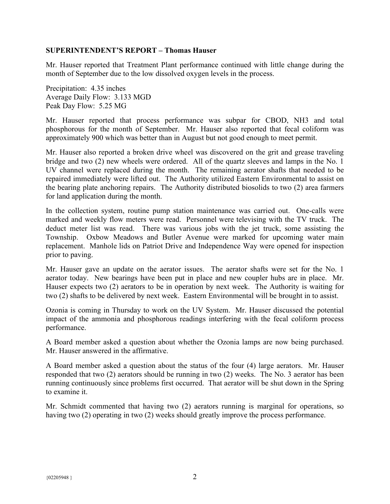### **SUPERINTENDENT'S REPORT – Thomas Hauser**

Mr. Hauser reported that Treatment Plant performance continued with little change during the month of September due to the low dissolved oxygen levels in the process.

Precipitation: 4.35 inches Average Daily Flow: 3.133 MGD Peak Day Flow: 5.25 MG

Mr. Hauser reported that process performance was subpar for CBOD, NH3 and total phosphorous for the month of September. Mr. Hauser also reported that fecal coliform was approximately 900 which was better than in August but not good enough to meet permit.

Mr. Hauser also reported a broken drive wheel was discovered on the grit and grease traveling bridge and two (2) new wheels were ordered. All of the quartz sleeves and lamps in the No. 1 UV channel were replaced during the month. The remaining aerator shafts that needed to be repaired immediately were lifted out. The Authority utilized Eastern Environmental to assist on the bearing plate anchoring repairs. The Authority distributed biosolids to two (2) area farmers for land application during the month.

In the collection system, routine pump station maintenance was carried out. One-calls were marked and weekly flow meters were read. Personnel were televising with the TV truck. The deduct meter list was read. There was various jobs with the jet truck, some assisting the Township. Oxbow Meadows and Butler Avenue were marked for upcoming water main replacement. Manhole lids on Patriot Drive and Independence Way were opened for inspection prior to paving.

Mr. Hauser gave an update on the aerator issues. The aerator shafts were set for the No. 1 aerator today. New bearings have been put in place and new coupler hubs are in place. Mr. Hauser expects two (2) aerators to be in operation by next week. The Authority is waiting for two (2) shafts to be delivered by next week. Eastern Environmental will be brought in to assist.

Ozonia is coming in Thursday to work on the UV System. Mr. Hauser discussed the potential impact of the ammonia and phosphorous readings interfering with the fecal coliform process performance.

A Board member asked a question about whether the Ozonia lamps are now being purchased. Mr. Hauser answered in the affirmative.

A Board member asked a question about the status of the four (4) large aerators. Mr. Hauser responded that two (2) aerators should be running in two (2) weeks. The No. 3 aerator has been running continuously since problems first occurred. That aerator will be shut down in the Spring to examine it.

Mr. Schmidt commented that having two (2) aerators running is marginal for operations, so having two (2) operating in two (2) weeks should greatly improve the process performance.